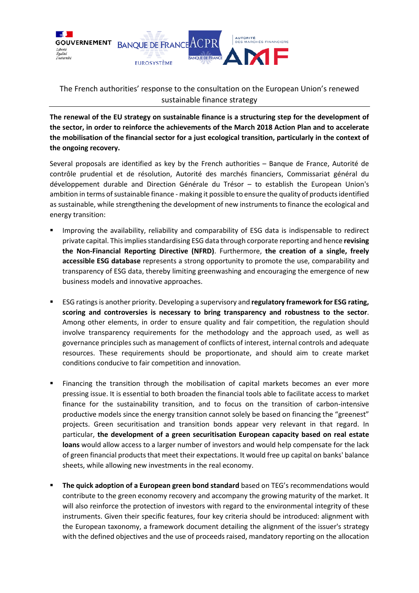

## The French authorities' response to the consultation on the European Union's renewed sustainable finance strategy

**The renewal of the EU strategy on sustainable finance is a structuring step for the development of the sector, in order to reinforce the achievements of the March 2018 Action Plan and to accelerate the mobilisation of the financial sector for a just ecological transition, particularly in the context of the ongoing recovery.**

Several proposals are identified as key by the French authorities – Banque de France, Autorité de contrôle prudential et de résolution, Autorité des marchés financiers, Commissariat général du développement durable and Direction Générale du Trésor – to establish the European Union's ambition in terms of sustainable finance - making it possible to ensure the quality of products identified as sustainable, while strengthening the development of new instruments to finance the ecological and energy transition:

- Improving the availability, reliability and comparability of ESG data is indispensable to redirect private capital. This implies standardising ESG data through corporate reporting and hence **revising the Non-Financial Reporting Directive (NFRD)**. Furthermore, **the creation of a single, freely accessible ESG database** represents a strong opportunity to promote the use, comparability and transparency of ESG data, thereby limiting greenwashing and encouraging the emergence of new business models and innovative approaches.
- ESG ratings is another priority. Developing a supervisory and **regulatory framework for ESG rating, scoring and controversies is necessary to bring transparency and robustness to the sector**. Among other elements, in order to ensure quality and fair competition, the regulation should involve transparency requirements for the methodology and the approach used, as well as governance principles such as management of conflicts of interest, internal controls and adequate resources. These requirements should be proportionate, and should aim to create market conditions conducive to fair competition and innovation.
- Financing the transition through the mobilisation of capital markets becomes an ever more pressing issue. It is essential to both broaden the financial tools able to facilitate access to market finance for the sustainability transition, and to focus on the transition of carbon-intensive productive models since the energy transition cannot solely be based on financing the "greenest" projects. Green securitisation and transition bonds appear very relevant in that regard. In particular, **the development of a green securitisation European capacity based on real estate loans** would allow access to a larger number of investors and would help compensate for the lack of green financial products that meet their expectations. It would free up capital on banks' balance sheets, while allowing new investments in the real economy.
- **The quick adoption of a European green bond standard** based on TEG's recommendations would contribute to the green economy recovery and accompany the growing maturity of the market. It will also reinforce the protection of investors with regard to the environmental integrity of these instruments. Given their specific features, four key criteria should be introduced: alignment with the European taxonomy, a framework document detailing the alignment of the issuer's strategy with the defined objectives and the use of proceeds raised, mandatory reporting on the allocation